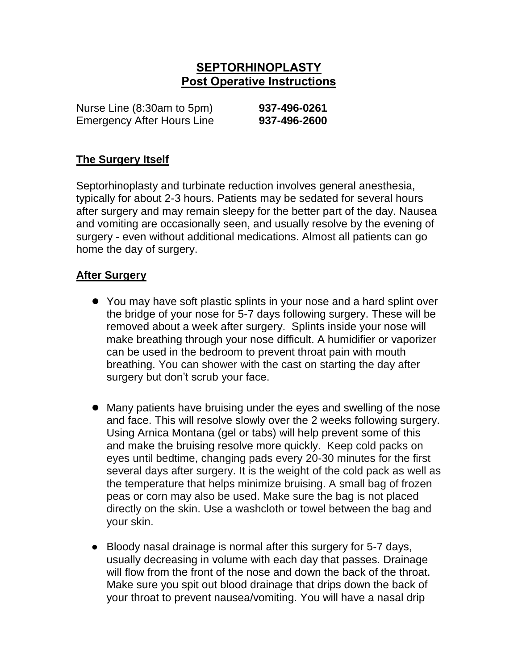# **SEPTORHINOPLASTY Post Operative Instructions**

Nurse Line (8:30am to 5pm) **937-496-0261** Emergency After Hours Line **937-496-2600**

### **The Surgery Itself**

Septorhinoplasty and turbinate reduction involves general anesthesia, typically for about 2-3 hours. Patients may be sedated for several hours after surgery and may remain sleepy for the better part of the day. Nausea and vomiting are occasionally seen, and usually resolve by the evening of surgery - even without additional medications. Almost all patients can go home the day of surgery.

#### **After Surgery**

- You may have soft plastic splints in your nose and a hard splint over the bridge of your nose for 5-7 days following surgery. These will be removed about a week after surgery. Splints inside your nose will make breathing through your nose difficult. A humidifier or vaporizer can be used in the bedroom to prevent throat pain with mouth breathing. You can shower with the cast on starting the day after surgery but don't scrub your face.
- Many patients have bruising under the eyes and swelling of the nose and face. This will resolve slowly over the 2 weeks following surgery. Using Arnica Montana (gel or tabs) will help prevent some of this and make the bruising resolve more quickly. Keep cold packs on eyes until bedtime, changing pads every 20-30 minutes for the first several days after surgery. It is the weight of the cold pack as well as the temperature that helps minimize bruising. A small bag of frozen peas or corn may also be used. Make sure the bag is not placed directly on the skin. Use a washcloth or towel between the bag and your skin.
- Bloody nasal drainage is normal after this surgery for 5-7 days, usually decreasing in volume with each day that passes. Drainage will flow from the front of the nose and down the back of the throat. Make sure you spit out blood drainage that drips down the back of your throat to prevent nausea/vomiting. You will have a nasal drip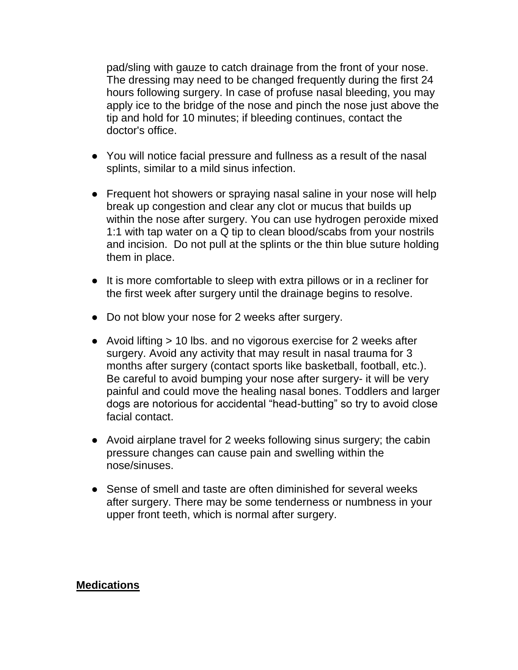pad/sling with gauze to catch drainage from the front of your nose. The dressing may need to be changed frequently during the first 24 hours following surgery. In case of profuse nasal bleeding, you may apply ice to the bridge of the nose and pinch the nose just above the tip and hold for 10 minutes; if bleeding continues, contact the doctor's office.

- You will notice facial pressure and fullness as a result of the nasal splints, similar to a mild sinus infection.
- Frequent hot showers or spraying nasal saline in your nose will help break up congestion and clear any clot or mucus that builds up within the nose after surgery. You can use hydrogen peroxide mixed 1:1 with tap water on a Q tip to clean blood/scabs from your nostrils and incision. Do not pull at the splints or the thin blue suture holding them in place.
- It is more comfortable to sleep with extra pillows or in a recliner for the first week after surgery until the drainage begins to resolve.
- Do not blow your nose for 2 weeks after surgery.
- Avoid lifting > 10 lbs. and no vigorous exercise for 2 weeks after surgery. Avoid any activity that may result in nasal trauma for 3 months after surgery (contact sports like basketball, football, etc.). Be careful to avoid bumping your nose after surgery- it will be very painful and could move the healing nasal bones. Toddlers and larger dogs are notorious for accidental "head-butting" so try to avoid close facial contact.
- Avoid airplane travel for 2 weeks following sinus surgery; the cabin pressure changes can cause pain and swelling within the nose/sinuses.
- Sense of smell and taste are often diminished for several weeks after surgery. There may be some tenderness or numbness in your upper front teeth, which is normal after surgery.

#### **Medications**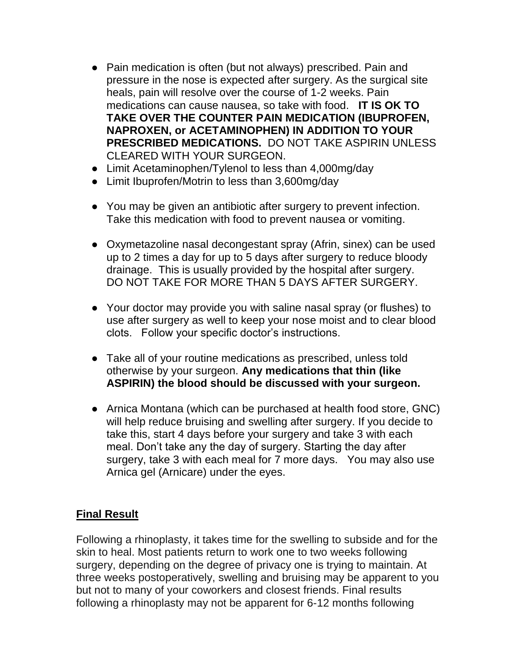- Pain medication is often (but not always) prescribed. Pain and pressure in the nose is expected after surgery. As the surgical site heals, pain will resolve over the course of 1-2 weeks. Pain medications can cause nausea, so take with food. **IT IS OK TO TAKE OVER THE COUNTER PAIN MEDICATION (IBUPROFEN, NAPROXEN, or ACETAMINOPHEN) IN ADDITION TO YOUR PRESCRIBED MEDICATIONS.** DO NOT TAKE ASPIRIN UNLESS CLEARED WITH YOUR SURGEON.
- Limit Acetaminophen/Tylenol to less than 4,000mg/day
- Limit Ibuprofen/Motrin to less than 3,600mg/day
- You may be given an antibiotic after surgery to prevent infection. Take this medication with food to prevent nausea or vomiting.
- Oxymetazoline nasal decongestant spray (Afrin, sinex) can be used up to 2 times a day for up to 5 days after surgery to reduce bloody drainage. This is usually provided by the hospital after surgery. DO NOT TAKE FOR MORE THAN 5 DAYS AFTER SURGERY.
- Your doctor may provide you with saline nasal spray (or flushes) to use after surgery as well to keep your nose moist and to clear blood clots. Follow your specific doctor's instructions.
- Take all of your routine medications as prescribed, unless told otherwise by your surgeon. **Any medications that thin (like ASPIRIN) the blood should be discussed with your surgeon.**
- Arnica Montana (which can be purchased at health food store, GNC) will help reduce bruising and swelling after surgery. If you decide to take this, start 4 days before your surgery and take 3 with each meal. Don't take any the day of surgery. Starting the day after surgery, take 3 with each meal for 7 more days. You may also use Arnica gel (Arnicare) under the eyes.

## **Final Result**

Following a rhinoplasty, it takes time for the swelling to subside and for the skin to heal. Most patients return to work one to two weeks following surgery, depending on the degree of privacy one is trying to maintain. At three weeks postoperatively, swelling and bruising may be apparent to you but not to many of your coworkers and closest friends. Final results following a rhinoplasty may not be apparent for 6-12 months following